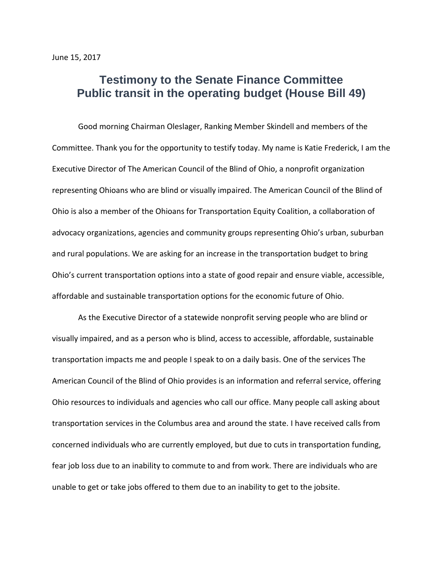## **Testimony to the Senate Finance Committee Public transit in the operating budget (House Bill 49)**

Good morning Chairman Oleslager, Ranking Member Skindell and members of the Committee. Thank you for the opportunity to testify today. My name is Katie Frederick, I am the Executive Director of The American Council of the Blind of Ohio, a nonprofit organization representing Ohioans who are blind or visually impaired. The American Council of the Blind of Ohio is also a member of the Ohioans for Transportation Equity Coalition, a collaboration of advocacy organizations, agencies and community groups representing Ohio's urban, suburban and rural populations. We are asking for an increase in the transportation budget to bring Ohio's current transportation options into a state of good repair and ensure viable, accessible, affordable and sustainable transportation options for the economic future of Ohio.

As the Executive Director of a statewide nonprofit serving people who are blind or visually impaired, and as a person who is blind, access to accessible, affordable, sustainable transportation impacts me and people I speak to on a daily basis. One of the services The American Council of the Blind of Ohio provides is an information and referral service, offering Ohio resources to individuals and agencies who call our office. Many people call asking about transportation services in the Columbus area and around the state. I have received calls from concerned individuals who are currently employed, but due to cuts in transportation funding, fear job loss due to an inability to commute to and from work. There are individuals who are unable to get or take jobs offered to them due to an inability to get to the jobsite.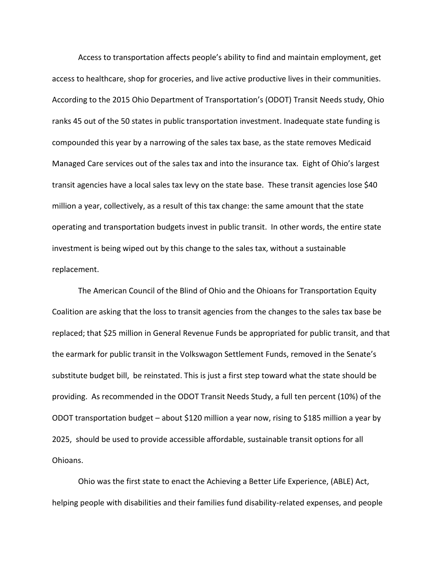Access to transportation affects people's ability to find and maintain employment, get access to healthcare, shop for groceries, and live active productive lives in their communities. According to the 2015 Ohio Department of Transportation's (ODOT) Transit Needs study, Ohio ranks 45 out of the 50 states in public transportation investment. Inadequate state funding is compounded this year by a narrowing of the sales tax base, as the state removes Medicaid Managed Care services out of the sales tax and into the insurance tax. Eight of Ohio's largest transit agencies have a local sales tax levy on the state base. These transit agencies lose \$40 million a year, collectively, as a result of this tax change: the same amount that the state operating and transportation budgets invest in public transit. In other words, the entire state investment is being wiped out by this change to the sales tax, without a sustainable replacement.

The American Council of the Blind of Ohio and the Ohioans for Transportation Equity Coalition are asking that the loss to transit agencies from the changes to the sales tax base be replaced; that \$25 million in General Revenue Funds be appropriated for public transit, and that the earmark for public transit in the Volkswagon Settlement Funds, removed in the Senate's substitute budget bill, be reinstated. This is just a first step toward what the state should be providing. As recommended in the ODOT Transit Needs Study, a full ten percent (10%) of the ODOT transportation budget – about \$120 million a year now, rising to \$185 million a year by 2025, should be used to provide accessible affordable, sustainable transit options for all Ohioans.

Ohio was the first state to enact the Achieving a Better Life Experience, (ABLE) Act, helping people with disabilities and their families fund disability-related expenses, and people